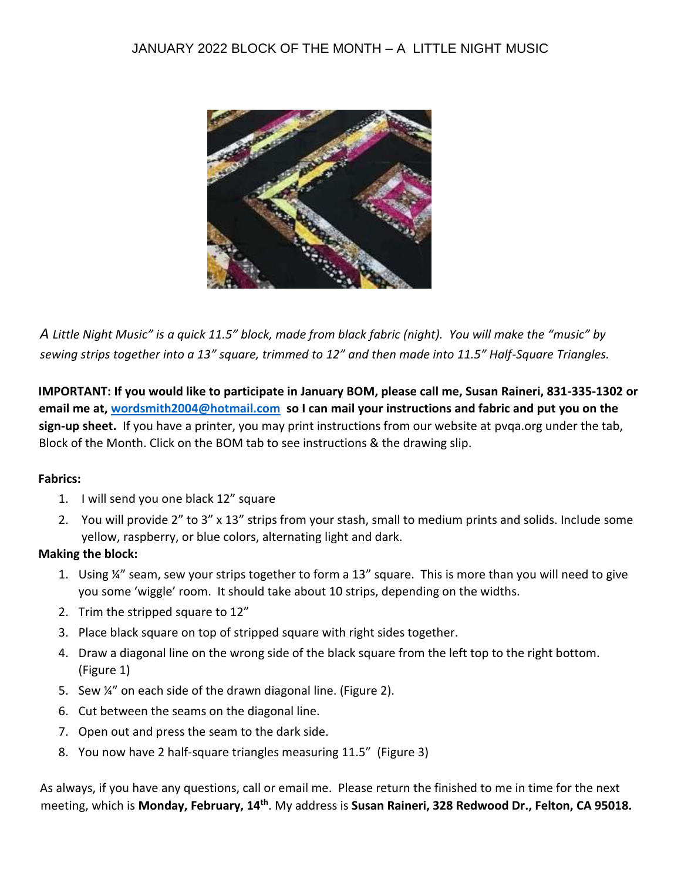

*A Little Night Music" is a quick 11.5" block, made from black fabric (night). You will make the "music" by sewing strips together into a 13" square, trimmed to 12" and then made into 11.5" Half-Square Triangles.* 

**IMPORTANT: If you would like to participate in January BOM, please call me, Susan Raineri, 831-335-1302 or email me at, wordsmith2004@hotmail.com so I can mail your instructions and fabric and put you on the sign-up sheet.** If you have a printer, you may print instructions from our website at pvqa.org under the tab, Block of the Month. Click on the BOM tab to see instructions & the drawing slip.

## **Fabrics:**

- 1. I will send you one black 12" square
- 2. You will provide 2" to 3" x 13" strips from your stash, small to medium prints and solids. Include some yellow, raspberry, or blue colors, alternating light and dark.

## **Making the block:**

- 1. Using ¼" seam, sew your strips together to form a 13" square. This is more than you will need to give you some 'wiggle' room. It should take about 10 strips, depending on the widths.
- 2. Trim the stripped square to 12"
- 3. Place black square on top of stripped square with right sides together.
- 4. Draw a diagonal line on the wrong side of the black square from the left top to the right bottom. (Figure 1)
- 5. Sew ¼" on each side of the drawn diagonal line. (Figure 2).
- 6. Cut between the seams on the diagonal line.
- 7. Open out and press the seam to the dark side.
- 8. You now have 2 half-square triangles measuring 11.5" (Figure 3)

As always, if you have any questions, call or email me. Please return the finished to me in time for the next meeting, which is **Monday, February, 14th**. My address is **Susan Raineri, 328 Redwood Dr., Felton, CA 95018.**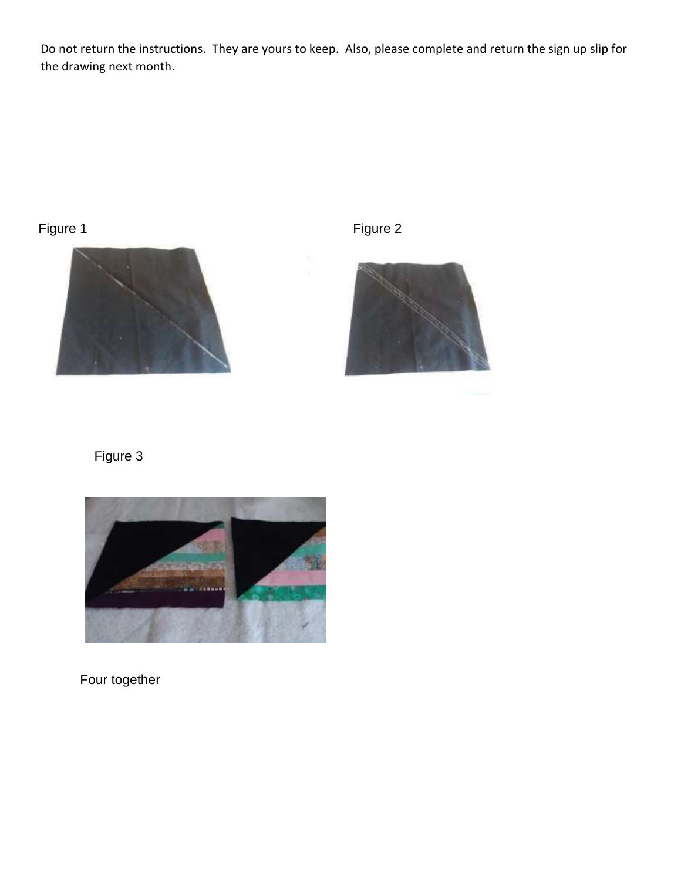Do not return the instructions. They are yours to keep. Also, please complete and return the sign up slip for the drawing next month.

## Figure 1 and 1 and 1 and 1 and 1 and 1 and 1 and 1 and 1 and 1 and 1 and 1 and 1 and 1 and 1 and 1 and 1 and 1





## Figure 3



Four together